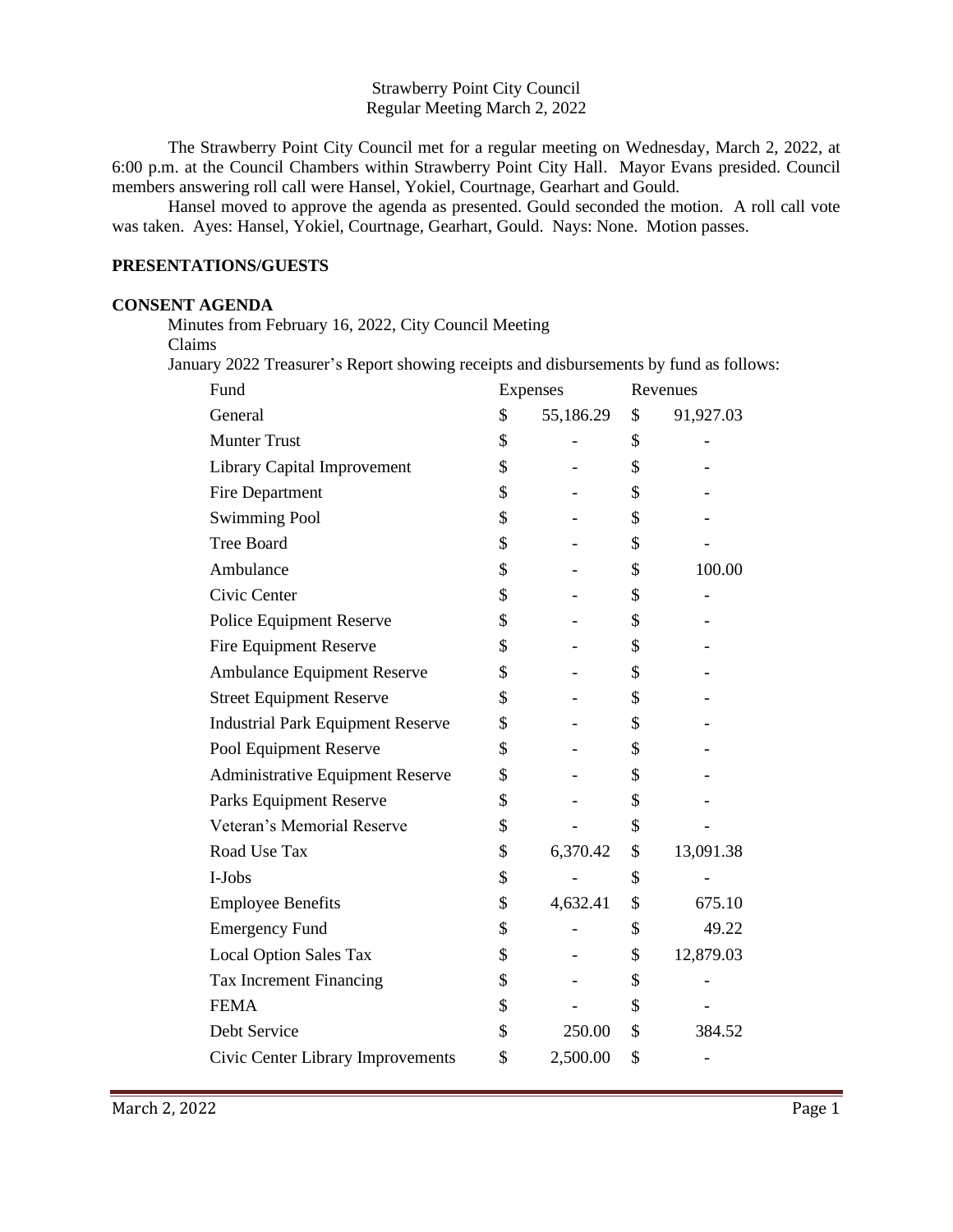### Strawberry Point City Council Regular Meeting March 2, 2022

The Strawberry Point City Council met for a regular meeting on Wednesday, March 2, 2022, at 6:00 p.m. at the Council Chambers within Strawberry Point City Hall. Mayor Evans presided. Council members answering roll call were Hansel, Yokiel, Courtnage, Gearhart and Gould.

Hansel moved to approve the agenda as presented. Gould seconded the motion. A roll call vote was taken. Ayes: Hansel, Yokiel, Courtnage, Gearhart, Gould. Nays: None. Motion passes.

# **PRESENTATIONS/GUESTS**

#### **CONSENT AGENDA**

 Minutes from February 16, 2022, City Council Meeting Claims

January 2022 Treasurer's Report showing receipts and disbursements by fund as follows:

| Fund                                     | Expenses        |    | Revenues  |  |
|------------------------------------------|-----------------|----|-----------|--|
| General                                  | \$<br>55,186.29 | \$ | 91,927.03 |  |
| <b>Munter Trust</b>                      | \$              | \$ |           |  |
| <b>Library Capital Improvement</b>       | \$              | \$ |           |  |
| Fire Department                          | \$              | \$ |           |  |
| <b>Swimming Pool</b>                     | \$              | \$ |           |  |
| <b>Tree Board</b>                        | \$              | \$ |           |  |
| Ambulance                                | \$              | \$ | 100.00    |  |
| Civic Center                             | \$              | \$ |           |  |
| Police Equipment Reserve                 | \$              | \$ |           |  |
| <b>Fire Equipment Reserve</b>            | \$              | \$ |           |  |
| Ambulance Equipment Reserve              | \$              | \$ |           |  |
| <b>Street Equipment Reserve</b>          | \$              | \$ |           |  |
| <b>Industrial Park Equipment Reserve</b> | \$              | \$ |           |  |
| Pool Equipment Reserve                   | \$              | \$ |           |  |
| <b>Administrative Equipment Reserve</b>  | \$              | \$ |           |  |
| Parks Equipment Reserve                  | \$              | \$ |           |  |
| Veteran's Memorial Reserve               | \$              | \$ |           |  |
| Road Use Tax                             | \$<br>6,370.42  | \$ | 13,091.38 |  |
| I-Jobs                                   | \$              | \$ |           |  |
| <b>Employee Benefits</b>                 | \$<br>4,632.41  | \$ | 675.10    |  |
| <b>Emergency Fund</b>                    | \$              | \$ | 49.22     |  |
| <b>Local Option Sales Tax</b>            | \$              | \$ | 12,879.03 |  |
| Tax Increment Financing                  | \$              | \$ |           |  |
| <b>FEMA</b>                              | \$              | \$ |           |  |
| Debt Service                             | \$<br>250.00    | \$ | 384.52    |  |
| Civic Center Library Improvements        | \$<br>2,500.00  | \$ |           |  |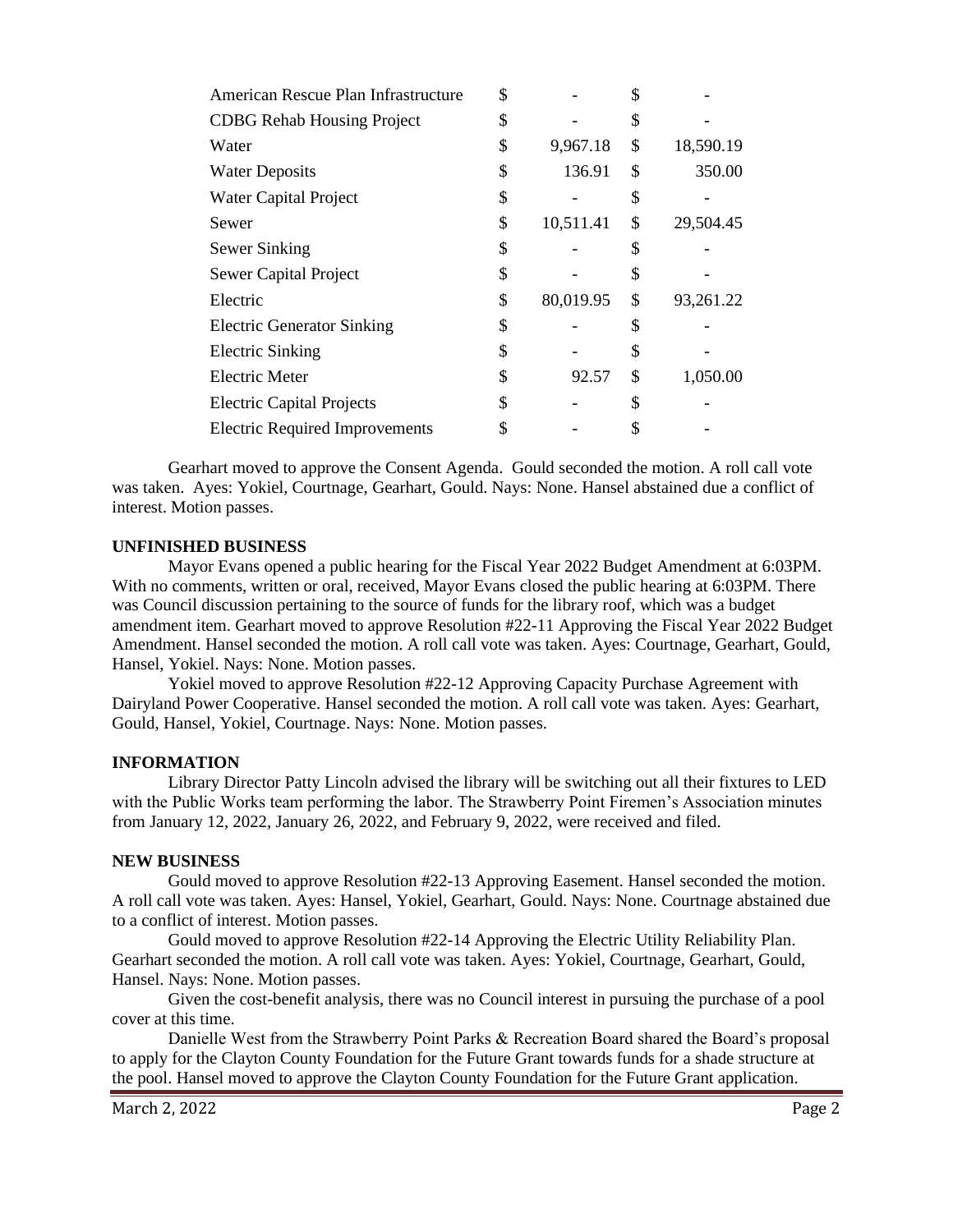| American Rescue Plan Infrastructure   | \$              | S  |           |
|---------------------------------------|-----------------|----|-----------|
| <b>CDBG Rehab Housing Project</b>     | \$              | \$ |           |
| Water                                 | \$<br>9,967.18  | \$ | 18,590.19 |
| <b>Water Deposits</b>                 | \$<br>136.91    | \$ | 350.00    |
| Water Capital Project                 | \$              | \$ |           |
| Sewer                                 | \$<br>10,511.41 | \$ | 29,504.45 |
| Sewer Sinking                         | \$              | \$ |           |
| Sewer Capital Project                 | \$              | S  |           |
| Electric                              | \$<br>80,019.95 | \$ | 93,261.22 |
| <b>Electric Generator Sinking</b>     | \$              | \$ |           |
| <b>Electric Sinking</b>               | \$              | S  |           |
| Electric Meter                        | \$<br>92.57     | \$ | 1,050.00  |
| <b>Electric Capital Projects</b>      | \$              | S  |           |
| <b>Electric Required Improvements</b> |                 |    |           |

Gearhart moved to approve the Consent Agenda. Gould seconded the motion. A roll call vote was taken. Ayes: Yokiel, Courtnage, Gearhart, Gould. Nays: None. Hansel abstained due a conflict of interest. Motion passes.

#### **UNFINISHED BUSINESS**

Mayor Evans opened a public hearing for the Fiscal Year 2022 Budget Amendment at 6:03PM. With no comments, written or oral, received, Mayor Evans closed the public hearing at 6:03PM. There was Council discussion pertaining to the source of funds for the library roof, which was a budget amendment item. Gearhart moved to approve Resolution #22-11 Approving the Fiscal Year 2022 Budget Amendment. Hansel seconded the motion. A roll call vote was taken. Ayes: Courtnage, Gearhart, Gould, Hansel, Yokiel. Nays: None. Motion passes.

Yokiel moved to approve Resolution #22-12 Approving Capacity Purchase Agreement with Dairyland Power Cooperative. Hansel seconded the motion. A roll call vote was taken. Ayes: Gearhart, Gould, Hansel, Yokiel, Courtnage. Nays: None. Motion passes.

#### **INFORMATION**

Library Director Patty Lincoln advised the library will be switching out all their fixtures to LED with the Public Works team performing the labor. The Strawberry Point Firemen's Association minutes from January 12, 2022, January 26, 2022, and February 9, 2022, were received and filed.

#### **NEW BUSINESS**

Gould moved to approve Resolution #22-13 Approving Easement. Hansel seconded the motion. A roll call vote was taken. Ayes: Hansel, Yokiel, Gearhart, Gould. Nays: None. Courtnage abstained due to a conflict of interest. Motion passes.

Gould moved to approve Resolution #22-14 Approving the Electric Utility Reliability Plan. Gearhart seconded the motion. A roll call vote was taken. Ayes: Yokiel, Courtnage, Gearhart, Gould, Hansel. Nays: None. Motion passes.

Given the cost-benefit analysis, there was no Council interest in pursuing the purchase of a pool cover at this time.

Danielle West from the Strawberry Point Parks & Recreation Board shared the Board's proposal to apply for the Clayton County Foundation for the Future Grant towards funds for a shade structure at the pool. Hansel moved to approve the Clayton County Foundation for the Future Grant application.